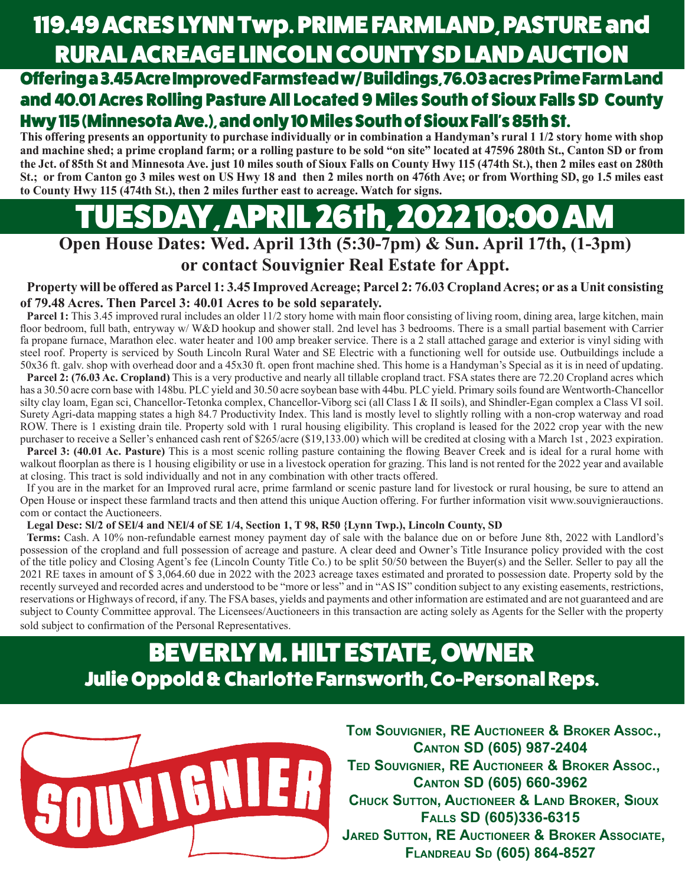# 119.49 ACRES LYNN Twp. PRIME FARMLAND, PASTURE and RURAL ACREAGE LINCOLN COUNTY SD LAND AUCTION

Offering a 3.45 Acre Improved Farmstead w/ Buildings, 76.03 acres Prime Farm Land and 40.01 Acres Rolling Pasture All Located 9 Miles South of Sioux Falls SD County Hwy 115 (Minnesota Ave.), and only 10 Miles South of Sioux Fall's 85th St.

**This offering presents an opportunity to purchase individually or in combination a Handyman's rural 1 1/2 story home with shop and machine shed; a prime cropland farm; or a rolling pasture to be sold "on site" located at 47596 280th St., Canton SD or from the Jct. of 85th St and Minnesota Ave. just 10 miles south of Sioux Falls on County Hwy 115 (474th St.), then 2 miles east on 280th St.; or from Canton go 3 miles west on US Hwy 18 and then 2 miles north on 476th Ave; or from Worthing SD, go 1.5 miles east to County Hwy 115 (474th St.), then 2 miles further east to acreage. Watch for signs.**

# SDAY, APRIL 26th, 2022 10:00 AN

**Open House Dates: Wed. April 13th (5:30-7pm) & Sun. April 17th, (1-3pm)**

### **or contact Souvignier Real Estate for Appt.**

**Property will be offered as Parcel 1: 3.45 Improved Acreage; Parcel 2: 76.03 Cropland Acres; or as a Unit consisting of 79.48 Acres. Then Parcel 3: 40.01 Acres to be sold separately.** 

**Parcel 1:** This 3.45 improved rural includes an older 11/2 story home with main floor consisting of living room, dining area, large kitchen, main floor bedroom, full bath, entryway w/ W&D hookup and shower stall. 2nd level has 3 bedrooms. There is a small partial basement with Carrier fa propane furnace, Marathon elec. water heater and 100 amp breaker service. There is a 2 stall attached garage and exterior is vinyl siding with steel roof. Property is serviced by South Lincoln Rural Water and SE Electric with a functioning well for outside use. Outbuildings include a 50x36 ft. galv. shop with overhead door and a 45x30 ft. open front machine shed. This home is a Handyman's Special as it is in need of updating.

Parcel 2: (76.03 Ac. Cropland) This is a very productive and nearly all tillable cropland tract. FSA states there are 72.20 Cropland acres which has a 30.50 acre corn base with 148bu. PLC yield and 30.50 acre soybean base with 44bu. PLC yield. Primary soils found are Wentworth-Chancellor silty clay loam, Egan sci, Chancellor-Tetonka complex, Chancellor-Viborg sci (all Class I & II soils), and Shindler-Egan complex a Class VI soil. Surety Agri-data mapping states a high 84.7 Productivity Index. This land is mostly level to slightly rolling with a non-crop waterway and road ROW. There is 1 existing drain tile. Property sold with 1 rural housing eligibility. This cropland is leased for the 2022 crop year with the new purchaser to receive a Seller's enhanced cash rent of \$265/acre (\$19,133.00) which will be credited at closing with a March 1st , 2023 expiration.

**Parcel 3: (40.01 Ac. Pasture)** This is a most scenic rolling pasture containing the flowing Beaver Creek and is ideal for a rural home with walkout floorplan as there is 1 housing eligibility or use in a livestock operation for grazing. This land is not rented for the 2022 year and available at closing. This tract is sold individually and not in any combination with other tracts offered.

If you are in the market for an Improved rural acre, prime farmland or scenic pasture land for livestock or rural housing, be sure to attend an Open House or inspect these farmland tracts and then attend this unique Auction offering. For further information visit www.souvignierauctions. com or contact the Auctioneers.

#### **Legal Desc: Sl/2 of SEl/4 and NEl/4 of SE 1/4, Section 1, T 98, R50 {Lynn Twp.), Lincoln County, SD**

**Terms:** Cash. A 10% non-refundable earnest money payment day of sale with the balance due on or before June 8th, 2022 with Landlord's possession of the cropland and full possession of acreage and pasture. A clear deed and Owner's Title Insurance policy provided with the cost of the title policy and Closing Agent's fee (Lincoln County Title Co.) to be split 50/50 between the Buyer(s) and the Seller. Seller to pay all the 2021 RE taxes in amount of \$ 3,064.60 due in 2022 with the 2023 acreage taxes estimated and prorated to possession date. Property sold by the recently surveyed and recorded acres and understood to be "more or less" and in "AS IS" condition subject to any existing easements, restrictions, reservations or Highways of record, if any. The FSA bases, yields and payments and other information are estimated and are not guaranteed and are subject to County Committee approval. The Licensees/Auctioneers in this transaction are acting solely as Agents for the Seller with the property sold subject to confirmation of the Personal Representatives.

## BEVERLY M. HILT ESTATE, OWNER Julie Oppold & Charlotte Farnsworth, Co-Personal Reps.



**TOM SOUVIGNIER, RE AUCTIONEER & BROKER ASSOC., CANTON SD (605) 987-2404 TED SOUVIGNIER, RE AUCTIONEER & BROKER ASSOC., CANTON SD (605) 660-3962 CHUCK SUTTON, AUCTIONEER & LAND BROKER, SIOUX FALLS SD (605)336-6315 JARED SUTTON, RE AUCTIONEER & BROKER ASSOCIATE, FLANDREAU SD (605) 864-8527**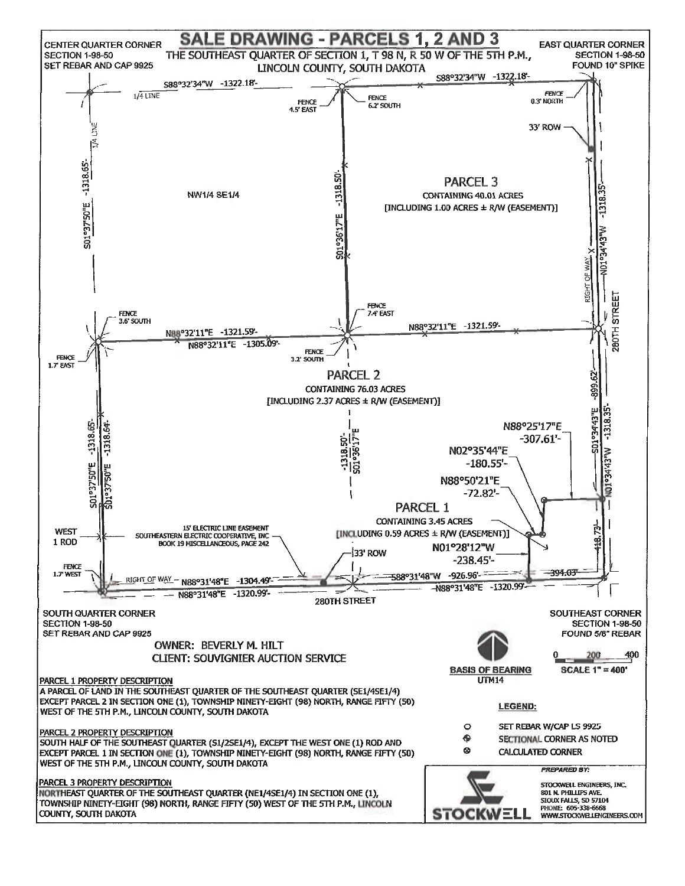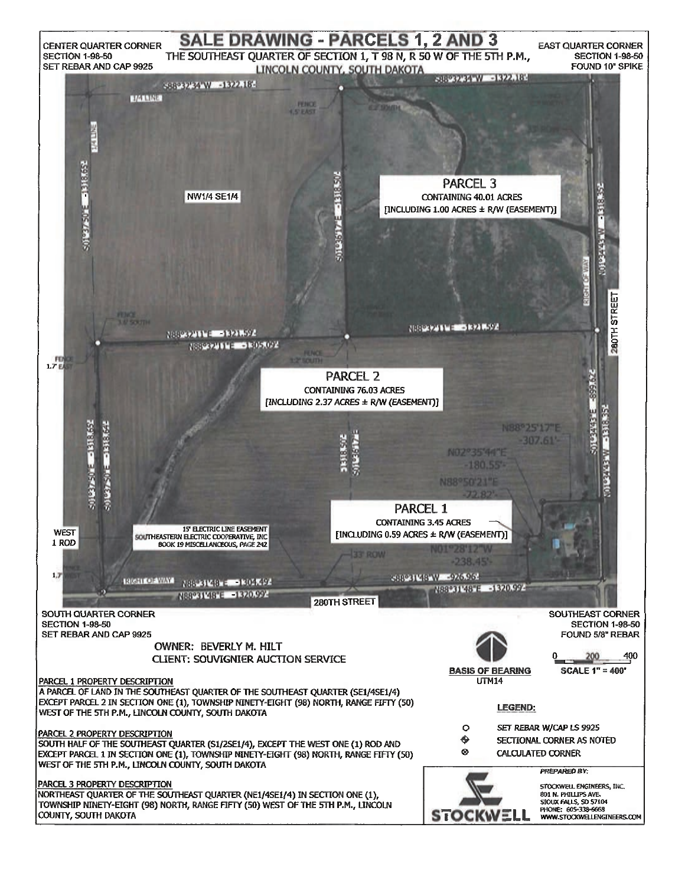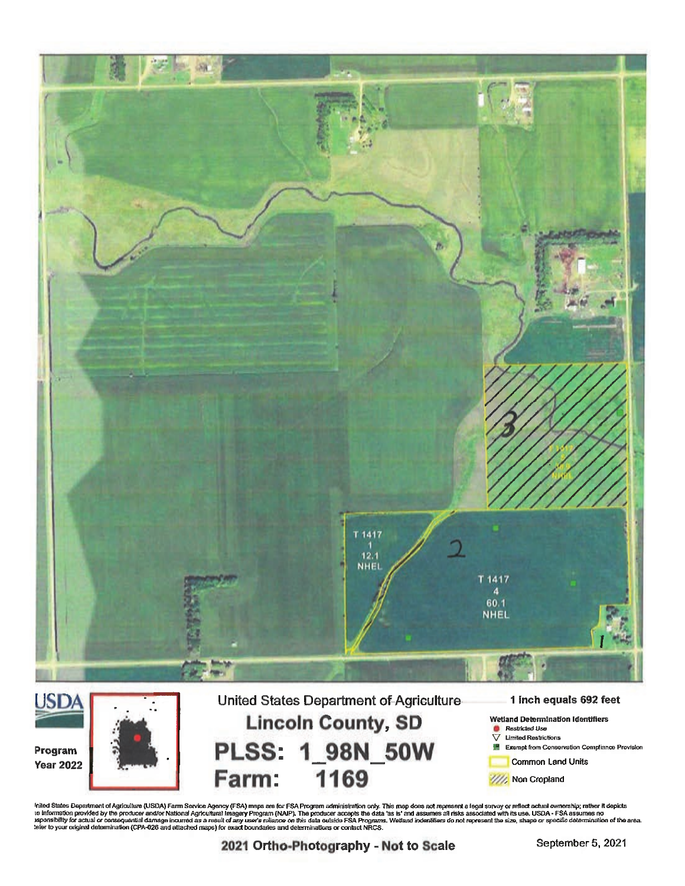

Inited States Department of Agriculture (USDA) Farm Service Agency (FSA) maps are for FSA Program administration only. This map does not represent a legal survey or reflect actual ownership; rather it depicts<br>to informatio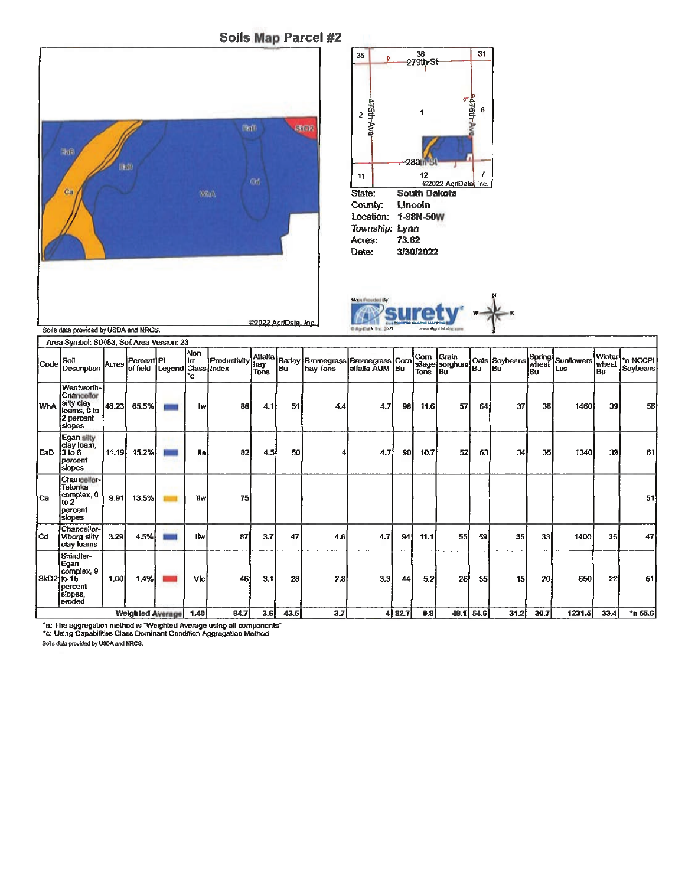Soils Map Parcel #2







T.

Area Symbol: SD083, Soil Area Version: 23

| <b>PUGA OVIERNI, OLIVOJ, OVIL AVGA VEISKAL ZO</b> |                                                                              |       |                                                 |  |                   |                  |             |      |                                                                                                                                                                                                                     |                  |        |         |    |           |      |      |        |                       |                      |
|---------------------------------------------------|------------------------------------------------------------------------------|-------|-------------------------------------------------|--|-------------------|------------------|-------------|------|---------------------------------------------------------------------------------------------------------------------------------------------------------------------------------------------------------------------|------------------|--------|---------|----|-----------|------|------|--------|-----------------------|----------------------|
|                                                   | Code Soil<br>Description                                                     |       | Acres Percent PI<br>of field Legend Class Index |  | Non-<br>llm<br>°c | Productivity hay | <b>Tons</b> |      | Alfalta   Barley   Bromegrass   Bromegrass   Corn   Grain   Oats   Sovbeans   Spring   Sunflowers  <br>  hay   Bromegrass   Bromegrass   Corn   Silage   Sovbeans   Sovbeans   Meat   Lbs     Lbs     Lbs       Lbs |                  |        | Tons Bu |    |           |      | lBu  |        | Winter<br>wheat<br>Bu | *n NCCPI<br>Soybeans |
| lwħA                                              | Wentworth-<br>Chancellor<br>silty clay<br>loams, 0 to<br>2 percent<br>slopes | 48.23 | 65.5%                                           |  | Iw                | 88               | 4.1I        | 51   | 4.4                                                                                                                                                                                                                 | 4.7              | 98     | 11.6    | 57 | 64        | 37   | 36   | 1460   | 39                    | 56                   |
| EaB                                               | Egan silty<br>clay loam,<br>l3 to 6<br>percent<br>slopes                     | 11.19 | 15.2%                                           |  | <b>Ilel</b>       | 82               | 4.5         | 50   |                                                                                                                                                                                                                     | 4.7              | 90     | 10.7    | 52 | 63        | 34   | 35   | 1340   | 39                    | 61                   |
| lCa                                               | Chancellor-<br>Tetonka<br>complex, 0<br>lto 2<br>percent<br>slopes           | 9.91  | 13.5%                                           |  | 1hv)              | 75               |             |      |                                                                                                                                                                                                                     |                  |        |         |    |           |      |      |        |                       | 51                   |
| lCd.                                              | Chancellor-<br>Viborg silty<br>clay loams                                    | 3.29  | 4.5%                                            |  | Ilw               | 87               | 3.7         | 47   | 4.6                                                                                                                                                                                                                 | 4.7              | 94     | 11.1    | 55 | 59        | 35   | 33   | 1400   | 36                    | 47                   |
| SkD2 to 15                                        | Shindler-<br>Egan<br>complex, 9<br>loercent<br>slopes,<br>eroded             | 1.00  | 1.4%                                            |  | Vlel              | 46               | 3.1         | 28   | 2.8                                                                                                                                                                                                                 | 3.3 <sub>1</sub> | 44     | 5.2     | 26 | 35        | 15I  | 20   | 650    | 22                    | 51                   |
|                                                   |                                                                              |       | <b>Weighted Average</b>                         |  | 1,40              | 84.7             | 3.6         | 43.5 | 3.7                                                                                                                                                                                                                 |                  | 4 82.7 | 9.8     |    | 48.1 54.6 | 31.2 | 30.7 | 1231.5 | 33.4                  | $n$ 55.6             |

\*n: The aggregation method is "Weighted Average using all components"<br>\*c: Using Capabilities Class Dominant Condition Aggregation Method

Soils data provided by USDA and NRCS.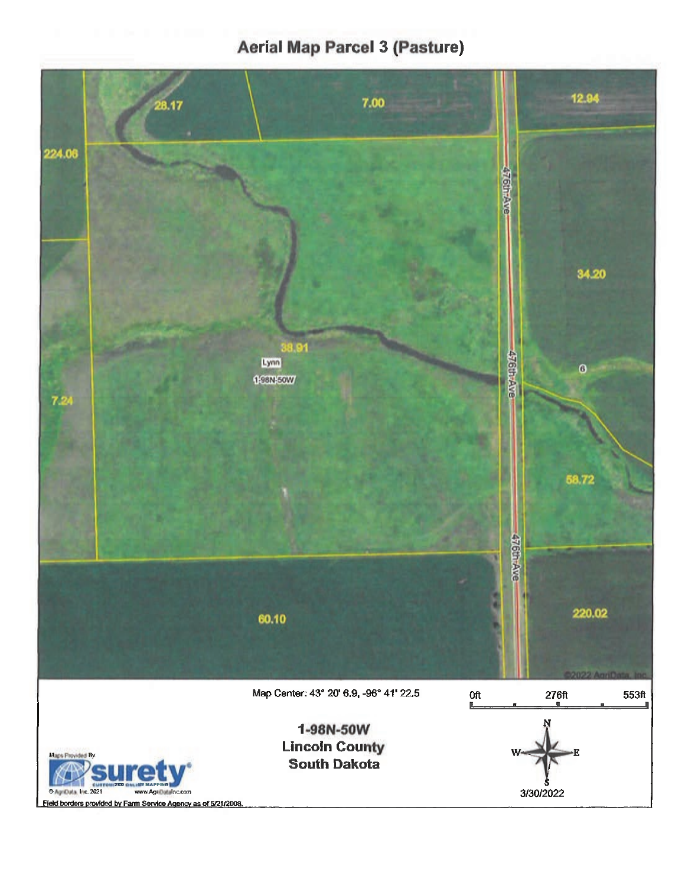## **Aerial Map Parcel 3 (Pasture)**

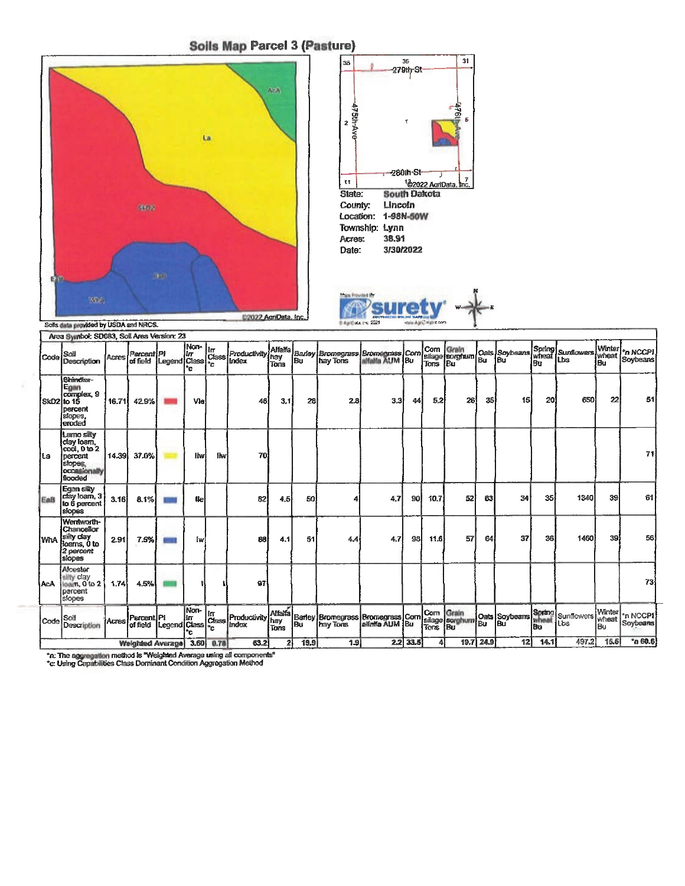#### **Soils Map Parcel 3 (Pasture)**







Soils data provided by USDA and NRCS.

| Area Symbol: SD083, Soil Area Version: 23 |                                                                                           |       |                                      |                            |                   |            |                                   |                                        |      |                                                                                                            |     |            |         |    |           |                                                 |      |                    |                        |                             |
|-------------------------------------------|-------------------------------------------------------------------------------------------|-------|--------------------------------------|----------------------------|-------------------|------------|-----------------------------------|----------------------------------------|------|------------------------------------------------------------------------------------------------------------|-----|------------|---------|----|-----------|-------------------------------------------------|------|--------------------|------------------------|-----------------------------|
| Code                                      | Soil<br>Description                                                                       | Acres | Percent PI<br>of field  Legend Class |                            | Non-<br>liг<br>*c | lΙπ<br>÷c  | Class Productivity<br>Index       | <b>Alfalfa</b><br><b>I</b> hay<br>Tons |      | Barley Bromegrass Bromegrass Corn<br>Bu hay Tons alfalla AUM Bu<br>hay Tons                                |     |            | Tons Bu |    |           | Com Grain<br>silage sorghum Oais Soybeans wheat | ßц   | Sunflowers.<br>lbs | Winter<br>wheat<br>lBu | *n NCCPI<br>Soybeans        |
| SkD2 lo 15                                | Shindler-<br>Egan<br>complex, 9<br><b>Dercent</b><br>slopes.<br>eroded                    | 16.71 | 42.9%                                |                            | Vie               |            | 46                                | 3.1                                    | 28   | 2.8                                                                                                        | 3.3 | 44         | 5.2     | 26 | 35        | 15                                              | 20   | 650                | 22                     | 51                          |
| iLa                                       | Lamo silty<br>lday loan.<br>coối, 0 to 2<br>percent<br>slopes,<br>occasionally<br>flooded | 14.39 | 37.0%                                |                            | <b>Hw</b>         | <b>Ihw</b> | 70                                |                                        |      |                                                                                                            |     |            |         |    |           |                                                 |      |                    |                        | 71                          |
| EaB                                       | Egan sity<br> clay loam, 3 <br><b>to 6 percent</b><br>slopes                              | 3.16  | 8.1%                                 |                            | <b>tle</b>        |            | 82                                | 4.5                                    | 50   |                                                                                                            | 4.7 | 90         | 10.7    | 52 | 63        | 34                                              | 35   | 1340               | 39                     | 61                          |
| <b>WhA</b>                                | Wentworth-<br><b>Chancellor</b><br>silly clay<br>loans, 0 to<br>2 percent<br>siopes       | 2.91  | 7.5%                                 |                            | ľж                |            | 88                                | 4.1                                    | 51   | 4.4                                                                                                        | 4.7 | 98 I       | 11.6    | 57 | 64        | 37                                              | 36   | 1460               | 39                     | 56                          |
| <b>AcA</b>                                | Alcester<br>silty clay<br>loam, 0 to 2<br>percent<br>slopes                               | 1.74  | 4.5%                                 |                            |                   |            | 97                                |                                        |      |                                                                                                            |     |            |         |    |           |                                                 |      |                    |                        | 73                          |
| Code                                      | Soil<br>Description                                                                       |       | Acres Percent PI<br>of field         | [Legend <sup>[Class]</sup> | Non-<br>lп<br>°C. | ÷.         | In<br>Class Productivity<br>Index | <b>Alfara</b><br>hay<br>Tons           |      | <br> Barley Bromegrass   Bromegrass    Corn    Grain<br> Bu    hay Tons    alfalfa AUM    Bu    Tons    Bu |     |            |         |    |           | Oats Soybeans Spring                            | Bu   | Sunflowers<br>Lbs  | Winter<br>wheat<br>lBu | <b>In NCCPI</b><br>Soybeans |
| Weighted Average 3.60 0.78                |                                                                                           |       |                                      |                            |                   |            | 63.2                              | 21                                     | 19.9 | 1.9                                                                                                        |     | $2.2$ 33.5 | 4       |    | 19.7 24.9 | 12                                              | 14.1 | 497.2              | 15.5                   | n60.6                       |

"n: The aggregation method is "Weighted Average using all components"<br>"c: Using Capabilities Class Dominant Condition Aggregation Method